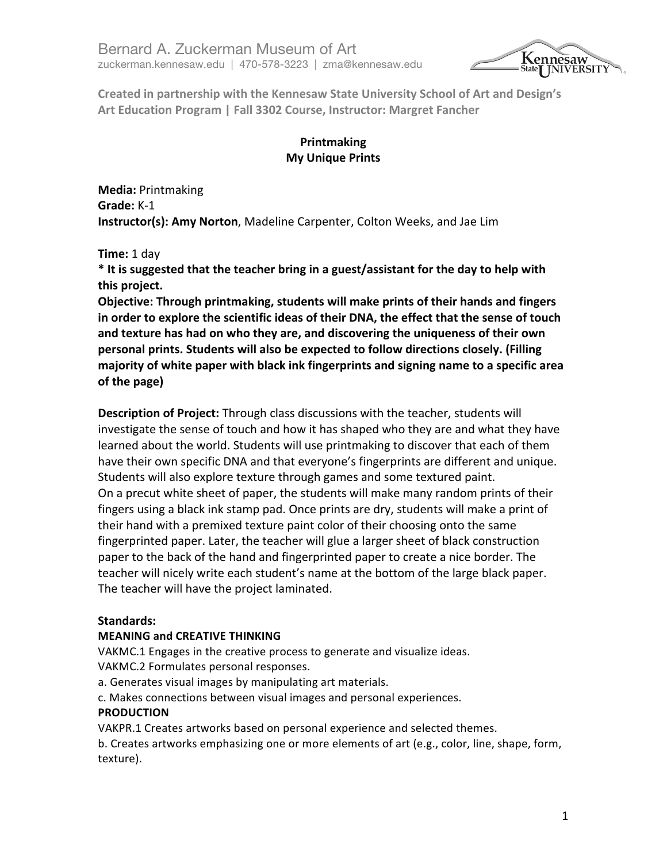

Created in partnership with the Kennesaw State University School of Art and Design's **Art Education Program | Fall 3302 Course, Instructor: Margret Fancher** 

# **Printmaking My Unique Prints**

**Media:** Printmaking **Grade:** K-1 **Instructor(s): Amy Norton**, Madeline Carpenter, Colton Weeks, and Jae Lim

**Time:** 1 day

\* It is suggested that the teacher bring in a guest/assistant for the day to help with this project.

**Objective: Through printmaking, students will make prints of their hands and fingers** in order to explore the scientific ideas of their DNA, the effect that the sense of touch and texture has had on who they are, and discovering the uniqueness of their own **personal prints. Students will also be expected to follow directions closely. (Filling** majority of white paper with black ink fingerprints and signing name to a specific area **of the page)**

**Description of Project:** Through class discussions with the teacher, students will investigate the sense of touch and how it has shaped who they are and what they have learned about the world. Students will use printmaking to discover that each of them have their own specific DNA and that everyone's fingerprints are different and unique. Students will also explore texture through games and some textured paint. On a precut white sheet of paper, the students will make many random prints of their fingers using a black ink stamp pad. Once prints are dry, students will make a print of their hand with a premixed texture paint color of their choosing onto the same fingerprinted paper. Later, the teacher will glue a larger sheet of black construction paper to the back of the hand and fingerprinted paper to create a nice border. The teacher will nicely write each student's name at the bottom of the large black paper. The teacher will have the project laminated.

# **Standards:**

#### **MEANING and CREATIVE THINKING**

VAKMC.1 Engages in the creative process to generate and visualize ideas.

VAKMC.2 Formulates personal responses.

a. Generates visual images by manipulating art materials.

c. Makes connections between visual images and personal experiences.

#### **PRODUCTION**

VAKPR.1 Creates artworks based on personal experience and selected themes.

b. Creates artworks emphasizing one or more elements of art (e.g., color, line, shape, form, texture).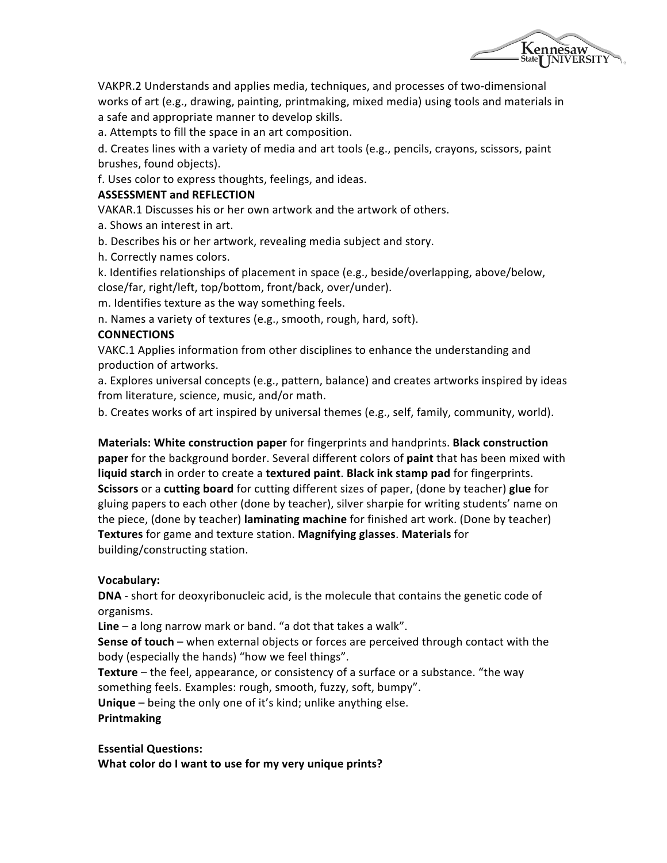

VAKPR.2 Understands and applies media, techniques, and processes of two-dimensional works of art (e.g., drawing, painting, printmaking, mixed media) using tools and materials in a safe and appropriate manner to develop skills.

a. Attempts to fill the space in an art composition.

d. Creates lines with a variety of media and art tools (e.g., pencils, crayons, scissors, paint brushes, found objects).

f. Uses color to express thoughts, feelings, and ideas.

#### **ASSESSMENT and REFLECTION**

VAKAR.1 Discusses his or her own artwork and the artwork of others.

a. Shows an interest in art.

b. Describes his or her artwork, revealing media subject and story.

h. Correctly names colors.

k. Identifies relationships of placement in space (e.g., beside/overlapping, above/below, close/far, right/left, top/bottom, front/back, over/under).

m. Identifies texture as the way something feels.

n. Names a variety of textures (e.g., smooth, rough, hard, soft).

#### **CONNECTIONS**

VAKC.1 Applies information from other disciplines to enhance the understanding and production of artworks.

a. Explores universal concepts (e.g., pattern, balance) and creates artworks inspired by ideas from literature, science, music, and/or math.

b. Creates works of art inspired by universal themes (e.g., self, family, community, world).

**Materials: White construction paper** for fingerprints and handprints. **Black construction paper** for the background border. Several different colors of **paint** that has been mixed with **liquid starch** in order to create a **textured paint**. Black ink stamp pad for fingerprints. **Scissors** or a **cutting board** for cutting different sizes of paper, (done by teacher) glue for gluing papers to each other (done by teacher), silver sharpie for writing students' name on the piece, (done by teacher) **laminating machine** for finished art work. (Done by teacher) **Textures** for game and texture station. **Magnifying glasses**. Materials for building/constructing station.

#### **Vocabulary:**

**DNA** - short for deoxyribonucleic acid, is the molecule that contains the genetic code of organisms.

**Line** – a long narrow mark or band. "a dot that takes a walk".

**Sense of touch** – when external objects or forces are perceived through contact with the body (especially the hands) "how we feel things".

**Texture** – the feel, appearance, or consistency of a surface or a substance. "the way something feels. Examples: rough, smooth, fuzzy, soft, bumpy".

**Unique** – being the only one of it's kind; unlike anything else. **Printmaking**

**Essential Questions: What color do I want to use for my very unique prints?**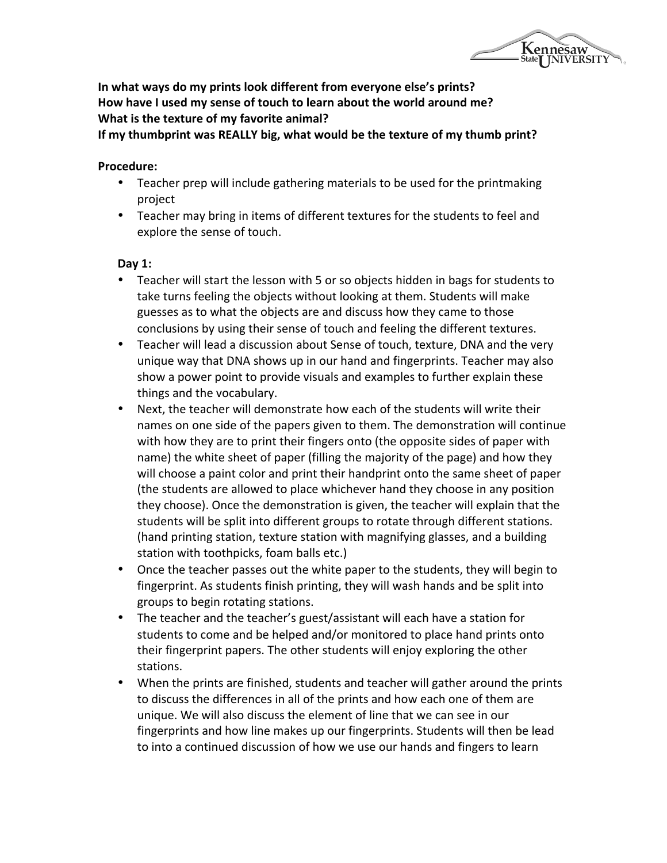Kennesaw<br>State<sub>l</sub> JNIVERSITY

In what ways do my prints look different from everyone else's prints? How have I used my sense of touch to learn about the world around me? **What is the texture of my favorite animal?** 

If my thumbprint was REALLY big, what would be the texture of my thumb print?

### **Procedure:**

- Teacher prep will include gathering materials to be used for the printmaking project
- Teacher may bring in items of different textures for the students to feel and explore the sense of touch.

## **Day 1:**

- Teacher will start the lesson with 5 or so objects hidden in bags for students to take turns feeling the objects without looking at them. Students will make guesses as to what the objects are and discuss how they came to those conclusions by using their sense of touch and feeling the different textures.
- Teacher will lead a discussion about Sense of touch, texture, DNA and the very unique way that DNA shows up in our hand and fingerprints. Teacher may also show a power point to provide visuals and examples to further explain these things and the vocabulary.
- Next, the teacher will demonstrate how each of the students will write their names on one side of the papers given to them. The demonstration will continue with how they are to print their fingers onto (the opposite sides of paper with name) the white sheet of paper (filling the majority of the page) and how they will choose a paint color and print their handprint onto the same sheet of paper (the students are allowed to place whichever hand they choose in any position they choose). Once the demonstration is given, the teacher will explain that the students will be split into different groups to rotate through different stations. (hand printing station, texture station with magnifying glasses, and a building station with toothpicks, foam balls etc.)
- Once the teacher passes out the white paper to the students, they will begin to fingerprint. As students finish printing, they will wash hands and be split into groups to begin rotating stations.
- The teacher and the teacher's guest/assistant will each have a station for students to come and be helped and/or monitored to place hand prints onto their fingerprint papers. The other students will enjoy exploring the other stations.
- When the prints are finished, students and teacher will gather around the prints to discuss the differences in all of the prints and how each one of them are unique. We will also discuss the element of line that we can see in our fingerprints and how line makes up our fingerprints. Students will then be lead to into a continued discussion of how we use our hands and fingers to learn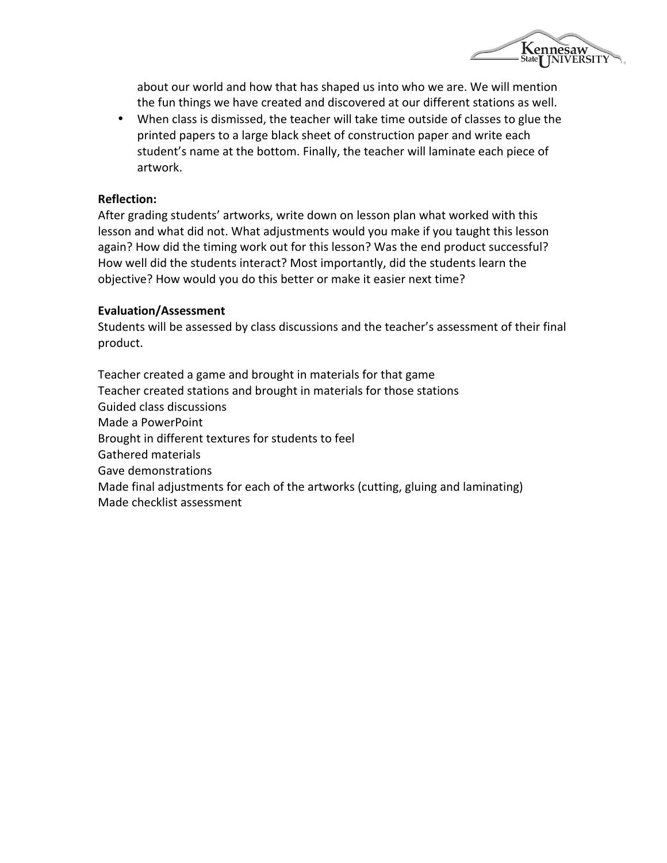

about our world and how that has shaped us into who we are. We will mention the fun things we have created and discovered at our different stations as well.

• When class is dismissed, the teacher will take time outside of classes to glue the printed papers to a large black sheet of construction paper and write each student's name at the bottom. Finally, the teacher will laminate each piece of artwork.

### **Reflection:**

After grading students' artworks, write down on lesson plan what worked with this lesson and what did not. What adjustments would you make if you taught this lesson again? How did the timing work out for this lesson? Was the end product successful? How well did the students interact? Most importantly, did the students learn the objective? How would you do this better or make it easier next time?

#### **Evaluation/Assessment**

Students will be assessed by class discussions and the teacher's assessment of their final product.

Teacher created a game and brought in materials for that game Teacher created stations and brought in materials for those stations Guided class discussions Made a PowerPoint Brought in different textures for students to feel Gathered materials Gave demonstrations Made final adjustments for each of the artworks (cutting, gluing and laminating) Made checklist assessment